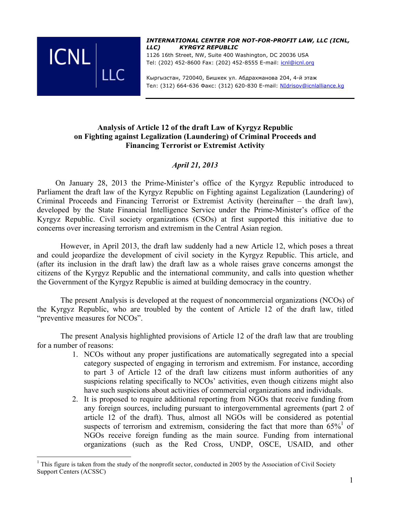

*INTERNATIONAL CENTER FOR NOT-FOR-PROFIT LAW, LLC (ICNL, LLC) KYRGYZ REPUBLIC* 

1126 16th Street, NW, Suite 400 Washington, DC 20036 USA Tel: (202) 452-8600 Fax: (202) 452-8555 E-mail: icnl@icnl.org

Кыргызстан, 720040, Бишкек ул. Абдрахманова 204, 4-й этаж Тел: (312) 664-636 Факс: (312) 620-830 E-mail: NIdrisov@icnlalliance.kg

# **Analysis of Article 12 of the draft Law of Kyrgyz Republic on Fighting against Legalization (Laundering) of Criminal Proceeds and Financing Terrorist or Extremist Activity**

# *April 21, 2013*

On January 28, 2013 the Prime-Minister's office of the Kyrgyz Republic introduced to Parliament the draft law of the Kyrgyz Republic on Fighting against Legalization (Laundering) of Criminal Proceeds and Financing Terrorist or Extremist Activity (hereinafter – the draft law), developed by the State Financial Intelligence Service under the Prime-Minister's office of the Kyrgyz Republic. Civil society organizations (CSOs) at first supported this initiative due to concerns over increasing terrorism and extremism in the Central Asian region.

However, in April 2013, the draft law suddenly had a new Article 12, which poses a threat and could jeopardize the development of civil society in the Kyrgyz Republic. This article, and (after its inclusion in the draft law) the draft law as a whole raises grave concerns amongst the citizens of the Kyrgyz Republic and the international community, and calls into question whether the Government of the Kyrgyz Republic is aimed at building democracy in the country.

The present Analysis is developed at the request of noncommercial organizations (NCOs) of the Kyrgyz Republic, who are troubled by the content of Article 12 of the draft law, titled "preventive measures for NCOs".

The present Analysis highlighted provisions of Article 12 of the draft law that are troubling for a number of reasons:

- 1. NCOs without any proper justifications are automatically segregated into a special category suspected of engaging in terrorism and extremism. For instance, according to part 3 of Article 12 of the draft law citizens must inform authorities of any suspicions relating specifically to NCOs' activities, even though citizens might also have such suspicions about activities of commercial organizations and individuals.
- 2. It is proposed to require additional reporting from NGOs that receive funding from any foreign sources, including pursuant to intergovernmental agreements (part 2 of article 12 of the draft). Thus, almost all NGOs will be considered as potential suspects of terrorism and extremism, considering the fact that more than  $65\%^1$  of NGOs receive foreign funding as the main source. Funding from international organizations (such as the Red Cross, UNDP, OSCE, USAID, and other

 $\frac{1}{1}$  $<sup>1</sup>$  This figure is taken from the study of the nonprofit sector, conducted in 2005 by the Association of Civil Society</sup> Support Centers (ACSSC)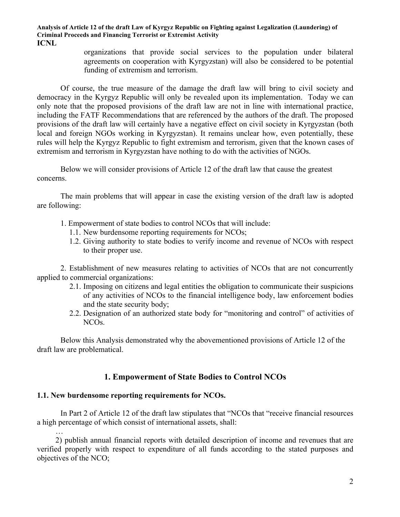> organizations that provide social services to the population under bilateral agreements on cooperation with Kyrgyzstan) will also be considered to be potential funding of extremism and terrorism.

Of course, the true measure of the damage the draft law will bring to civil society and democracy in the Kyrgyz Republic will only be revealed upon its implementation. Today we can only note that the proposed provisions of the draft law are not in line with international practice, including the FATF Recommendations that are referenced by the authors of the draft. The proposed provisions of the draft law will certainly have a negative effect on civil society in Kyrgyzstan (both local and foreign NGOs working in Kyrgyzstan). It remains unclear how, even potentially, these rules will help the Kyrgyz Republic to fight extremism and terrorism, given that the known cases of extremism and terrorism in Kyrgyzstan have nothing to do with the activities of NGOs.

Below we will consider provisions of Article 12 of the draft law that cause the greatest concerns.

The main problems that will appear in case the existing version of the draft law is adopted are following:

- 1. Empowerment of state bodies to control NCOs that will include:
	- 1.1. New burdensome reporting requirements for NCOs;
	- 1.2. Giving authority to state bodies to verify income and revenue of NCOs with respect to their proper use.

2. Establishment of new measures relating to activities of NCOs that are not concurrently applied to commercial organizations:

- 2.1. Imposing on citizens and legal entities the obligation to communicate their suspicions of any activities of NCOs to the financial intelligence body, law enforcement bodies and the state security body;
- 2.2. Designation of an authorized state body for "monitoring and control" of activities of NCOs.

Below this Analysis demonstrated why the abovementioned provisions of Article 12 of the draft law are problematical.

# **1. Empowerment of State Bodies to Control NCOs**

## **1.1. New burdensome reporting requirements for NCOs.**

In Part 2 of Article 12 of the draft law stipulates that "NCOs that "receive financial resources a high percentage of which consist of international assets, shall:

… 2) publish annual financial reports with detailed description of income and revenues that are verified properly with respect to expenditure of all funds according to the stated purposes and objectives of the NCO;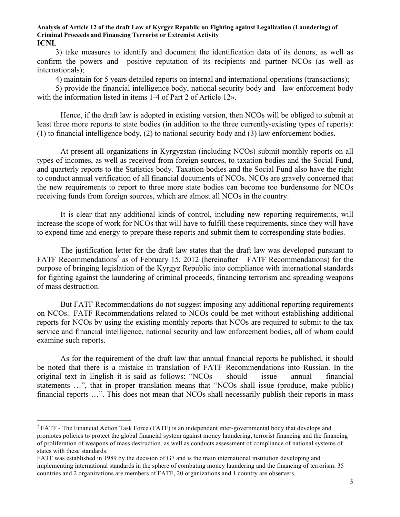3) take measures to identify and document the identification data of its donors, as well as confirm the powers and positive reputation of its recipients and partner NCOs (as well as internationals);

4) maintain for 5 years detailed reports on internal and international operations (transactions);

5) provide the financial intelligence body, national security body and law enforcement body with the information listed in items 1-4 of Part 2 of Article 12».

Hence, if the draft law is adopted in existing version, then NCOs will be obliged to submit at least three more reports to state bodies (in addition to the three currently-existing types of reports): (1) to financial intelligence body, (2) to national security body and (3) law enforcement bodies.

At present all organizations in Kyrgyzstan (including NCOs) submit monthly reports on all types of incomes, as well as received from foreign sources, to taxation bodies and the Social Fund, and quarterly reports to the Statistics body. Taxation bodies and the Social Fund also have the right to conduct annual verification of all financial documents of NCOs. NCOs are gravely concerned that the new requirements to report to three more state bodies can become too burdensome for NCOs receiving funds from foreign sources, which are almost all NCOs in the country.

It is clear that any additional kinds of control, including new reporting requirements, will increase the scope of work for NCOs that will have to fulfill these requirements, since they will have to expend time and energy to prepare these reports and submit them to corresponding state bodies.

The justification letter for the draft law states that the draft law was developed pursuant to FATF Recommendations<sup>2</sup> as of February 15, 2012 (hereinafter  $-$  FATF Recommendations) for the purpose of bringing legislation of the Kyrgyz Republic into compliance with international standards for fighting against the laundering of criminal proceeds, financing terrorism and spreading weapons of mass destruction.

But FATF Recommendations do not suggest imposing any additional reporting requirements on NCOs.. FATF Recommendations related to NCOs could be met without establishing additional reports for NCOs by using the existing monthly reports that NCOs are required to submit to the tax service and financial intelligence, national security and law enforcement bodies, all of whom could examine such reports.

As for the requirement of the draft law that annual financial reports be published, it should be noted that there is a mistake in translation of FATF Recommendations into Russian. In the original text in English it is said as follows: "NCOs should issue annual financial statements …", that in proper translation means that "NCOs shall issue (produce, make public) financial reports …". This does not mean that NCOs shall necessarily publish their reports in mass

 $\frac{1}{2}$ <sup>2</sup> FATF - The Financial Action Task Force (FATF) is an independent inter-governmental body that develops and promotes policies to protect the global financial system against money laundering, terrorist financing and the financing of proliferation of weapons of mass destruction, as well as conducts assessment of compliance of national systems of states with these standards.

FATF was established in 1989 by the decision of G7 and is the main international institution developing and implementing international standards in the sphere of combating money laundering and the financing of terrorism. 35 countries and 2 organizations are members of FATF, 20 organizations and 1 country are observers.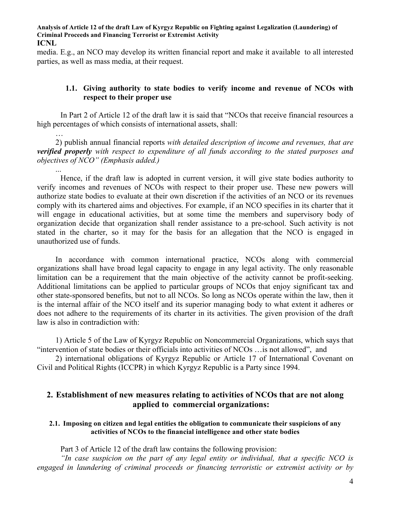media. E.g., an NCO may develop its written financial report and make it available to all interested parties, as well as mass media, at their request.

## **1.1. Giving authority to state bodies to verify income and revenue of NCOs with respect to their proper use**

In Part 2 of Article 12 of the draft law it is said that "NCOs that receive financial resources a high percentages of which consists of international assets, shall:

2) publish annual financial reports *with detailed description of income and revenues, that are verified properly with respect to expenditure of all funds according to the stated purposes and objectives of NCO" (Emphasis added.)*

...

Hence, if the draft law is adopted in current version, it will give state bodies authority to verify incomes and revenues of NCOs with respect to their proper use. These new powers will authorize state bodies to evaluate at their own discretion if the activities of an NCO or its revenues comply with its chartered aims and objectives. For example, if an NCO specifies in its charter that it will engage in educational activities, but at some time the members and supervisory body of organization decide that organization shall render assistance to a pre-school. Such activity is not stated in the charter, so it may for the basis for an allegation that the NCO is engaged in unauthorized use of funds.

In accordance with common international practice, NCOs along with commercial organizations shall have broad legal capacity to engage in any legal activity. The only reasonable limitation can be a requirement that the main objective of the activity cannot be profit-seeking. Additional limitations can be applied to particular groups of NCOs that enjoy significant tax and other state-sponsored benefits, but not to all NCOs. So long as NCOs operate within the law, then it is the internal affair of the NCO itself and its superior managing body to what extent it adheres or does not adhere to the requirements of its charter in its activities. The given provision of the draft law is also in contradiction with:

1) Article 5 of the Law of Kyrgyz Republic on Noncommercial Organizations, which says that "intervention of state bodies or their officials into activities of NCOs …is not allowed", and

2) international obligations of Kyrgyz Republic or Article 17 of International Covenant on Civil and Political Rights (ICCPR) in which Kyrgyz Republic is a Party since 1994.

# **2. Establishment of new measures relating to activities of NCOs that are not along applied to commercial organizations:**

### **2.1. Imposing on citizen and legal entities the obligation to communicate their suspicions of any activities of NCOs to the financial intelligence and other state bodies**

Part 3 of Article 12 of the draft law contains the following provision:

*"In case suspicion on the part of any legal entity or individual, that a specific NCO is engaged in laundering of criminal proceeds or financing terroristic or extremist activity or by*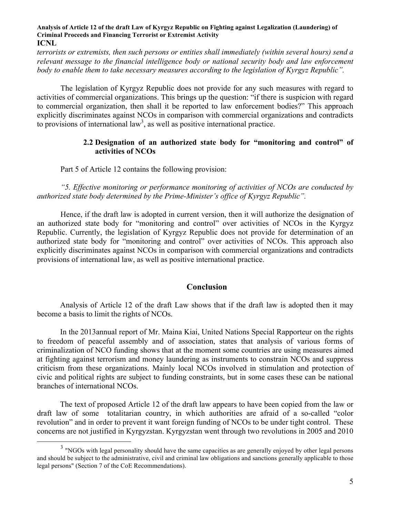*terrorists or extremists, then such persons or entities shall immediately (within several hours) send a relevant message to the financial intelligence body or national security body and law enforcement body to enable them to take necessary measures according to the legislation of Kyrgyz Republic".*

The legislation of Kyrgyz Republic does not provide for any such measures with regard to activities of commercial organizations. This brings up the question: "if there is suspicion with regard to commercial organization, then shall it be reported to law enforcement bodies?" This approach explicitly discriminates against NCOs in comparison with commercial organizations and contradicts to provisions of international law<sup>3</sup>, as well as positive international practice.

## **2.2 Designation of an authorized state body for "monitoring and control" of activities of NCOs**

Part 5 of Article 12 contains the following provision:

*"5. Effective monitoring or performance monitoring of activities of NCOs are conducted by authorized state body determined by the Prime-Minister's office of Kyrgyz Republic".*

Hence, if the draft law is adopted in current version, then it will authorize the designation of an authorized state body for "monitoring and control" over activities of NCOs in the Kyrgyz Republic. Currently, the legislation of Kyrgyz Republic does not provide for determination of an authorized state body for "monitoring and control" over activities of NCOs. This approach also explicitly discriminates against NCOs in comparison with commercial organizations and contradicts provisions of international law, as well as positive international practice.

## **Conclusion**

Analysis of Article 12 of the draft Law shows that if the draft law is adopted then it may become a basis to limit the rights of NCOs.

In the 2013annual report of Mr. Maina Kiai, United Nations Special Rapporteur on the rights to freedom of peaceful assembly and of association, states that analysis of various forms of criminalization of NCO funding shows that at the moment some countries are using measures aimed at fighting against terrorism and money laundering as instruments to constrain NCOs and suppress criticism from these organizations. Mainly local NCOs involved in stimulation and protection of civic and political rights are subject to funding constraints, but in some cases these can be national branches of international NCOs.

The text of proposed Article 12 of the draft law appears to have been copied from the law or draft law of some totalitarian country, in which authorities are afraid of a so-called "color revolution" and in order to prevent it want foreign funding of NCOs to be under tight control. These concerns are not justified in Kyrgyzstan. Kyrgyzstan went through two revolutions in 2005 and 2010

<sup>&</sup>lt;sup>3</sup> "NGOs with legal personality should have the same capacities as are generally enjoyed by other legal persons and should be subject to the administrative, civil and criminal law obligations and sanctions generally applicable to those legal persons" (Section 7 of the CoE Recommendations).